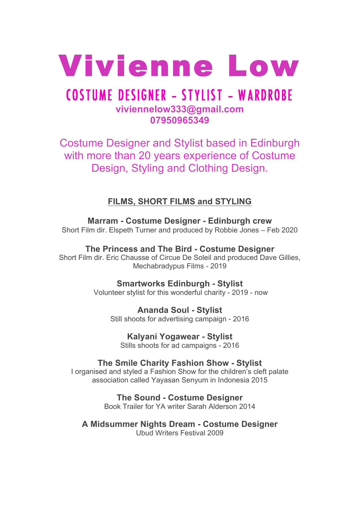

# COSTUME DESIGNER **-** STYLIST **-** WARDROBE **viviennelow333@gmail.com 07950965349**

Costume Designer and Stylist based in Edinburgh with more than 20 years experience of Costume Design, Styling and Clothing Design.

**FILMS, SHORT FILMS and STYLING**

**Marram - Costume Designer - Edinburgh crew** Short Film dir. Elspeth Turner and produced by Robbie Jones – Feb 2020

**The Princess and The Bird - Costume Designer** Short Film dir. Eric Chausse of Circue De Soleil and produced Dave Gillies, Mechabradypus Films - 2019

> **Smartworks Edinburgh - Stylist** Volunteer stylist for this wonderful charity - 2019 - now

**Ananda Soul - Stylist** Still shoots for advertising campaign - 2016

**Kalyani Yogawear - Stylist** Stills shoots for ad campaigns - 2016

**The Smile Charity Fashion Show - Stylist**

I organised and styled a Fashion Show for the children's cleft palate association called Yayasan Senyum in Indonesia 2015

> **The Sound - Costume Designer** Book Trailer for YA writer Sarah Alderson 2014

**A Midsummer Nights Dream - Costume Designer** Ubud Writers Festival 2009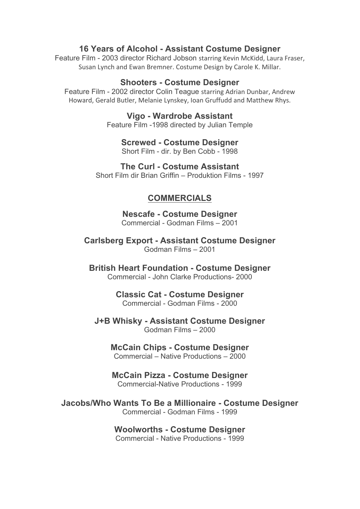# **16 Years of Alcohol - Assistant Costume Designer**

Feature Film - 2003 director Richard Jobson starring Kevin McKidd, Laura Fraser, Susan Lynch and Ewan Bremner. Costume Design by Carole K. Millar.

### **Shooters - Costume Designer**

Feature Film - 2002 director Colin Teague starring Adrian Dunbar, Andrew Howard, Gerald Butler, Melanie Lynskey, Ioan Gruffudd and Matthew Rhys.

### **Vigo - Wardrobe Assistant**

Feature Film -1998 directed by Julian Temple

**Screwed - Costume Designer** Short Film - dir. by Ben Cobb - 1998

**The Curl - Costume Assistant**

Short Film dir Brian Griffin – Produktion Films - 1997

# **COMMERCIALS**

**Nescafe - Costume Designer** Commercial - Godman Films – 2001

**Carlsberg Export - Assistant Costume Designer** Godman Films – 2001

**British Heart Foundation - Costume Designer** Commercial - John Clarke Productions- 2000

### **Classic Cat - Costume Designer** Commercial - Godman Films - 2000

# **J+B Whisky - Assistant Costume Designer**

Godman Films – 2000

# **McCain Chips - Costume Designer**

Commercial – Native Productions – 2000

### **McCain Pizza - Costume Designer**

Commercial-Native Productions - 1999

### **Jacobs/Who Wants To Be a Millionaire - Costume Designer** Commercial - Godman Films - 1999

#### **Woolworths - Costume Designer** Commercial - Native Productions - 1999